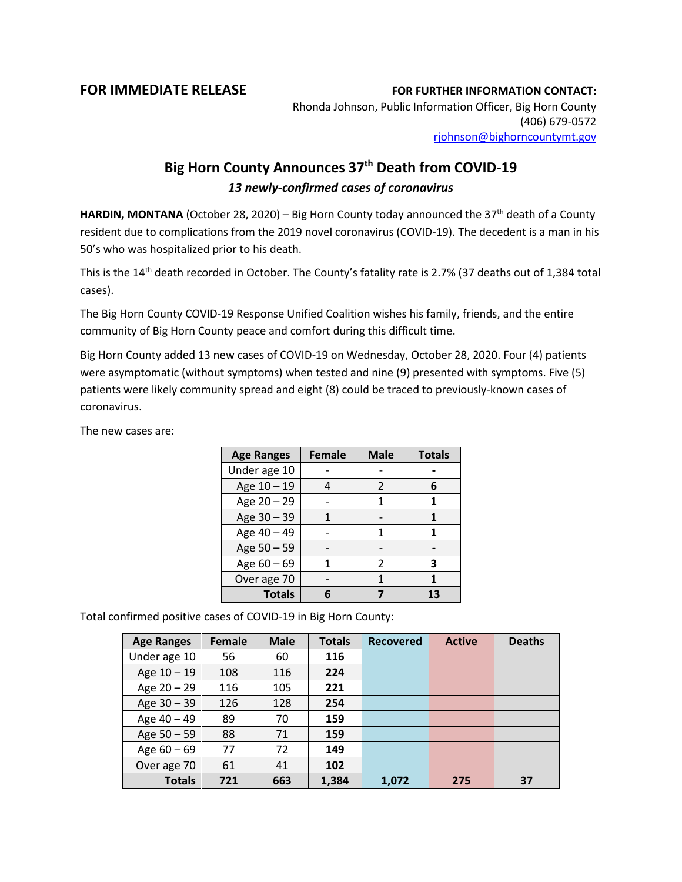## **FOR IMMEDIATE RELEASE FOR FURTHER INFORMATION CONTACT:**

Rhonda Johnson, Public Information Officer, Big Horn County (406) 679-0572 [rjohnson@bighorncountymt.gov](mailto:rjohnson@bighorncountymt.gov)

## **Big Horn County Announces 37th Death from COVID-19** *13 newly-confirmed cases of coronavirus*

HARDIN, MONTANA (October 28, 2020) – Big Horn County today announced the 37<sup>th</sup> death of a County resident due to complications from the 2019 novel coronavirus (COVID-19). The decedent is a man in his 50's who was hospitalized prior to his death.

This is the 14<sup>th</sup> death recorded in October. The County's fatality rate is 2.7% (37 deaths out of 1,384 total cases).

The Big Horn County COVID-19 Response Unified Coalition wishes his family, friends, and the entire community of Big Horn County peace and comfort during this difficult time.

Big Horn County added 13 new cases of COVID-19 on Wednesday, October 28, 2020. Four (4) patients were asymptomatic (without symptoms) when tested and nine (9) presented with symptoms. Five (5) patients were likely community spread and eight (8) could be traced to previously-known cases of coronavirus.

The new cases are:

| <b>Age Ranges</b> | <b>Female</b> | <b>Male</b>   | <b>Totals</b> |
|-------------------|---------------|---------------|---------------|
| Under age 10      |               |               |               |
| Age 10 - 19       |               | $\mathcal{P}$ | 6             |
| Age 20 - 29       |               |               |               |
| Age 30 - 39       |               |               |               |
| Age 40 - 49       |               |               |               |
| Age 50 - 59       |               |               |               |
| Age 60 - 69       |               | 2             | 3             |
| Over age 70       |               |               |               |
| <b>Totals</b>     |               |               | 13            |

Total confirmed positive cases of COVID-19 in Big Horn County:

| <b>Age Ranges</b> | <b>Female</b> | <b>Male</b> | <b>Totals</b> | <b>Recovered</b> | <b>Active</b> | <b>Deaths</b> |
|-------------------|---------------|-------------|---------------|------------------|---------------|---------------|
| Under age 10      | 56            | 60          | 116           |                  |               |               |
| Age 10 - 19       | 108           | 116         | 224           |                  |               |               |
| Age 20 - 29       | 116           | 105         | 221           |                  |               |               |
| Age $30 - 39$     | 126           | 128         | 254           |                  |               |               |
| Age 40 - 49       | 89            | 70          | 159           |                  |               |               |
| Age 50 - 59       | 88            | 71          | 159           |                  |               |               |
| Age $60 - 69$     | 77            | 72          | 149           |                  |               |               |
| Over age 70       | 61            | 41          | 102           |                  |               |               |
| <b>Totals</b>     | 721           | 663         | 1,384         | 1,072            | 275           | 37            |